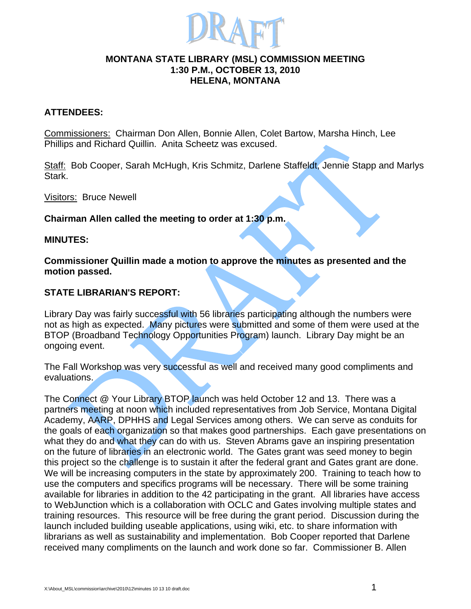

#### **MONTANA STATE LIBRARY (MSL) COMMISSION MEETING 1:30 P.M., OCTOBER 13, 2010 HELENA, MONTANA**

## **ATTENDEES:**

Commissioners: Chairman Don Allen, Bonnie Allen, Colet Bartow, Marsha Hinch, Lee Phillips and Richard Quillin. Anita Scheetz was excused.

Staff: Bob Cooper, Sarah McHugh, Kris Schmitz, Darlene Staffeldt, Jennie Stapp and Marlys Stark.

Visitors: Bruce Newell

**Chairman Allen called the meeting to order at 1:30 p.m.**

#### **MINUTES:**

**Commissioner Quillin made a motion to approve the minutes as presented and the motion passed.** 

## **STATE LIBRARIAN'S REPORT:**

Library Day was fairly successful with 56 libraries participating although the numbers were not as high as expected. Many pictures were submitted and some of them were used at the BTOP (Broadband Technology Opportunities Program) launch. Library Day might be an ongoing event.

The Fall Workshop was very successful as well and received many good compliments and evaluations.

The Connect @ Your Library BTOP launch was held October 12 and 13. There was a partners meeting at noon which included representatives from Job Service, Montana Digital Academy, AARP, DPHHS and Legal Services among others. We can serve as conduits for the goals of each organization so that makes good partnerships. Each gave presentations on what they do and what they can do with us. Steven Abrams gave an inspiring presentation on the future of libraries in an electronic world. The Gates grant was seed money to begin this project so the challenge is to sustain it after the federal grant and Gates grant are done. We will be increasing computers in the state by approximately 200. Training to teach how to use the computers and specifics programs will be necessary. There will be some training available for libraries in addition to the 42 participating in the grant. All libraries have access to WebJunction which is a collaboration with OCLC and Gates involving multiple states and training resources. This resource will be free during the grant period. Discussion during the launch included building useable applications, using wiki, etc. to share information with librarians as well as sustainability and implementation. Bob Cooper reported that Darlene received many compliments on the launch and work done so far. Commissioner B. Allen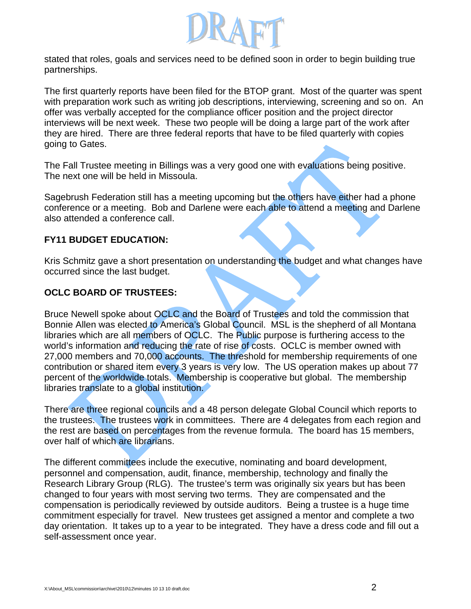

stated that roles, goals and services need to be defined soon in order to begin building true partnerships.

The first quarterly reports have been filed for the BTOP grant. Most of the quarter was spent with preparation work such as writing job descriptions, interviewing, screening and so on. An offer was verbally accepted for the compliance officer position and the project director interviews will be next week. These two people will be doing a large part of the work after they are hired. There are three federal reports that have to be filed quarterly with copies going to Gates.

The Fall Trustee meeting in Billings was a very good one with evaluations being positive. The next one will be held in Missoula.

Sagebrush Federation still has a meeting upcoming but the others have either had a phone conference or a meeting. Bob and Darlene were each able to attend a meeting and Darlene also attended a conference call.

## **FY11 BUDGET EDUCATION:**

Kris Schmitz gave a short presentation on understanding the budget and what changes have occurred since the last budget.

# **OCLC BOARD OF TRUSTEES:**

Bruce Newell spoke about OCLC and the Board of Trustees and told the commission that Bonnie Allen was elected to America's Global Council. MSL is the shepherd of all Montana libraries which are all members of OCLC. The Public purpose is furthering access to the world's information and reducing the rate of rise of costs. OCLC is member owned with 27,000 members and 70,000 accounts. The threshold for membership requirements of one contribution or shared item every 3 years is very low. The US operation makes up about 77 percent of the worldwide totals. Membership is cooperative but global. The membership libraries translate to a global institution.

There are three regional councils and a 48 person delegate Global Council which reports to the trustees. The trustees work in committees. There are 4 delegates from each region and the rest are based on percentages from the revenue formula. The board has 15 members, over half of which are librarians.

The different committees include the executive, nominating and board development, personnel and compensation, audit, finance, membership, technology and finally the Research Library Group (RLG). The trustee's term was originally six years but has been changed to four years with most serving two terms. They are compensated and the compensation is periodically reviewed by outside auditors. Being a trustee is a huge time commitment especially for travel. New trustees get assigned a mentor and complete a two day orientation. It takes up to a year to be integrated. They have a dress code and fill out a self-assessment once year.